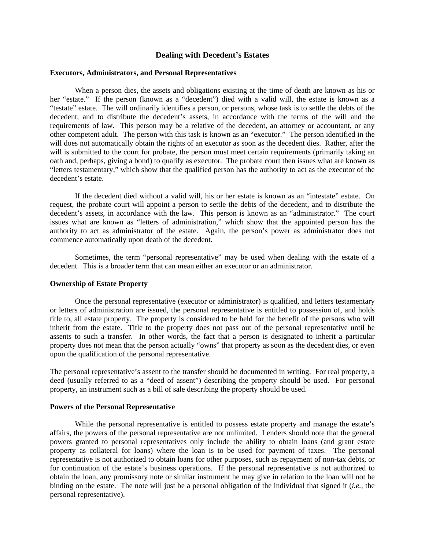# **Dealing with Decedent's Estates**

# **Executors, Administrators, and Personal Representatives**

 When a person dies, the assets and obligations existing at the time of death are known as his or her "estate." If the person (known as a "decedent") died with a valid will, the estate is known as a "testate" estate. The will ordinarily identifies a person, or persons, whose task is to settle the debts of the decedent, and to distribute the decedent's assets, in accordance with the terms of the will and the requirements of law. This person may be a relative of the decedent, an attorney or accountant, or any other competent adult. The person with this task is known as an "executor." The person identified in the will does not automatically obtain the rights of an executor as soon as the decedent dies. Rather, after the will is submitted to the court for probate, the person must meet certain requirements (primarily taking an oath and, perhaps, giving a bond) to qualify as executor. The probate court then issues what are known as "letters testamentary," which show that the qualified person has the authority to act as the executor of the decedent's estate.

 If the decedent died without a valid will, his or her estate is known as an "intestate" estate. On request, the probate court will appoint a person to settle the debts of the decedent, and to distribute the decedent's assets, in accordance with the law. This person is known as an "administrator." The court issues what are known as "letters of administration," which show that the appointed person has the authority to act as administrator of the estate. Again, the person's power as administrator does not commence automatically upon death of the decedent.

 Sometimes, the term "personal representative" may be used when dealing with the estate of a decedent. This is a broader term that can mean either an executor or an administrator.

### **Ownership of Estate Property**

 Once the personal representative (executor or administrator) is qualified, and letters testamentary or letters of administration are issued, the personal representative is entitled to possession of, and holds title to, all estate property. The property is considered to be held for the benefit of the persons who will inherit from the estate. Title to the property does not pass out of the personal representative until he assents to such a transfer. In other words, the fact that a person is designated to inherit a particular property does not mean that the person actually "owns" that property as soon as the decedent dies, or even upon the qualification of the personal representative.

The personal representative's assent to the transfer should be documented in writing. For real property, a deed (usually referred to as a "deed of assent") describing the property should be used. For personal property, an instrument such as a bill of sale describing the property should be used.

#### **Powers of the Personal Representative**

 While the personal representative is entitled to possess estate property and manage the estate's affairs, the powers of the personal representative are not unlimited. Lenders should note that the general powers granted to personal representatives only include the ability to obtain loans (and grant estate property as collateral for loans) where the loan is to be used for payment of taxes. The personal representative is not authorized to obtain loans for other purposes, such as repayment of non-tax debts, or for continuation of the estate's business operations. If the personal representative is not authorized to obtain the loan, any promissory note or similar instrument he may give in relation to the loan will not be binding on the estate. The note will just be a personal obligation of the individual that signed it (*i.e.*, the personal representative).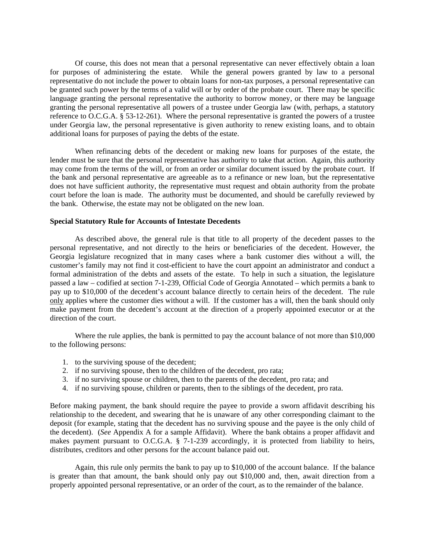Of course, this does not mean that a personal representative can never effectively obtain a loan for purposes of administering the estate. While the general powers granted by law to a personal representative do not include the power to obtain loans for non-tax purposes, a personal representative can be granted such power by the terms of a valid will or by order of the probate court. There may be specific language granting the personal representative the authority to borrow money, or there may be language granting the personal representative all powers of a trustee under Georgia law (with, perhaps, a statutory reference to O.C.G.A. § 53-12-261). Where the personal representative is granted the powers of a trustee under Georgia law, the personal representative is given authority to renew existing loans, and to obtain additional loans for purposes of paying the debts of the estate.

 When refinancing debts of the decedent or making new loans for purposes of the estate, the lender must be sure that the personal representative has authority to take that action. Again, this authority may come from the terms of the will, or from an order or similar document issued by the probate court. If the bank and personal representative are agreeable as to a refinance or new loan, but the representative does not have sufficient authority, the representative must request and obtain authority from the probate court before the loan is made. The authority must be documented, and should be carefully reviewed by the bank. Otherwise, the estate may not be obligated on the new loan.

# **Special Statutory Rule for Accounts of Intestate Decedents**

 As described above, the general rule is that title to all property of the decedent passes to the personal representative, and not directly to the heirs or beneficiaries of the decedent. However, the Georgia legislature recognized that in many cases where a bank customer dies without a will, the customer's family may not find it cost-efficient to have the court appoint an administrator and conduct a formal administration of the debts and assets of the estate. To help in such a situation, the legislature passed a law – codified at section 7-1-239, Official Code of Georgia Annotated – which permits a bank to pay up to \$10,000 of the decedent's account balance directly to certain heirs of the decedent. The rule only applies where the customer dies without a will. If the customer has a will, then the bank should only make payment from the decedent's account at the direction of a properly appointed executor or at the direction of the court.

 Where the rule applies, the bank is permitted to pay the account balance of not more than \$10,000 to the following persons:

- 1. to the surviving spouse of the decedent;
- 2. if no surviving spouse, then to the children of the decedent, pro rata;
- 3. if no surviving spouse or children, then to the parents of the decedent, pro rata; and
- 4. if no surviving spouse, children or parents, then to the siblings of the decedent, pro rata.

Before making payment, the bank should require the payee to provide a sworn affidavit describing his relationship to the decedent, and swearing that he is unaware of any other corresponding claimant to the deposit (for example, stating that the decedent has no surviving spouse and the payee is the only child of the decedent). (*See* Appendix A for a sample Affidavit). Where the bank obtains a proper affidavit and makes payment pursuant to O.C.G.A. § 7-1-239 accordingly, it is protected from liability to heirs, distributes, creditors and other persons for the account balance paid out.

 Again, this rule only permits the bank to pay up to \$10,000 of the account balance. If the balance is greater than that amount, the bank should only pay out \$10,000 and, then, await direction from a properly appointed personal representative, or an order of the court, as to the remainder of the balance.